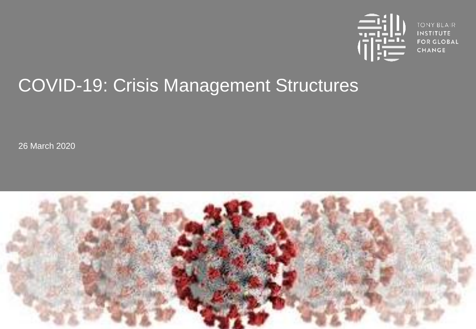

**TONY BLAIR INSTITUTE FOR GLOBAL CHANGE** 

# COVID-19: Crisis Management Structures

26 March 2020

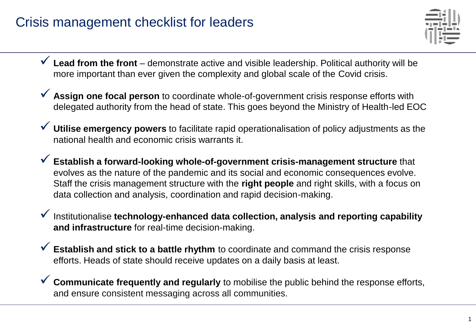## Crisis management checklist for leaders



- ✓ **Lead from the front**  demonstrate active and visible leadership. Political authority will be more important than ever given the complexity and global scale of the Covid crisis.
- ✓ **Assign one focal person** to coordinate whole-of-government crisis response efforts with delegated authority from the head of state. This goes beyond the Ministry of Health-led EOC
- Utilise emergency powers to facilitate rapid operationalisation of policy adjustments as the national health and economic crisis warrants it.
- ✓ **Establish a forward-looking whole-of-government crisis-management structure** that evolves as the nature of the pandemic and its social and economic consequences evolve. Staff the crisis management structure with the **right people** and right skills, with a focus on data collection and analysis, coordination and rapid decision-making.
- ✓ Institutionalise **technology-enhanced data collection, analysis and reporting capability and infrastructure** for real-time decision-making.
- ✓ **Establish and stick to a battle rhythm** to coordinate and command the crisis response efforts. Heads of state should receive updates on a daily basis at least.
- ✓ **Communicate frequently and regularly** to mobilise the public behind the response efforts, and ensure consistent messaging across all communities.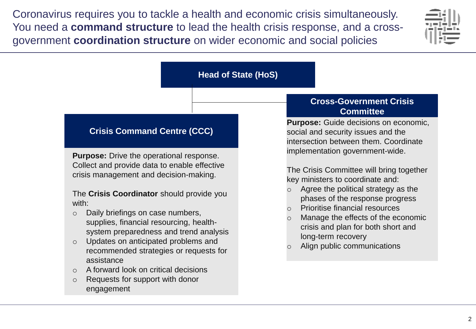Coronavirus requires you to tackle a health and economic crisis simultaneously. You need a **command structure** to lead the health crisis response, and a crossgovernment **coordination structure** on wider economic and social policies



#### **Head of State (HoS)**

#### **Crisis Command Centre (CCC)**

**Purpose:** Drive the operational response. Collect and provide data to enable effective crisis management and decision-making.

#### The **Crisis Coordinator** should provide you with:

- o Daily briefings on case numbers, supplies, financial resourcing, healthsystem preparedness and trend analysis
- o Updates on anticipated problems and recommended strategies or requests for assistance
- o A forward look on critical decisions
- o Requests for support with donor engagement

#### **Cross-Government Crisis Committee**

**Purpose:** Guide decisions on economic, social and security issues and the intersection between them. Coordinate implementation government-wide.

The Crisis Committee will bring together key ministers to coordinate and:

- Agree the political strategy as the phases of the response progress
- **Prioritise financial resources**
- Manage the effects of the economic crisis and plan for both short and long-term recovery
- Align public communications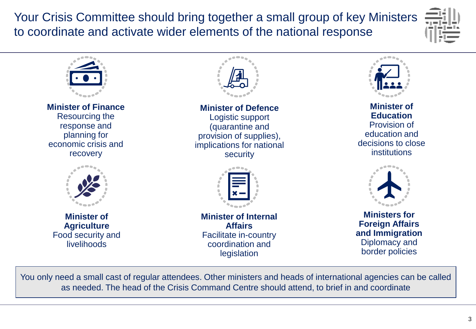Your Crisis Committee should bring together a small group of key Ministers to coordinate and activate wider elements of the national response





You only need a small cast of regular attendees. Other ministers and heads of international agencies can be called as needed. The head of the Crisis Command Centre should attend, to brief in and coordinate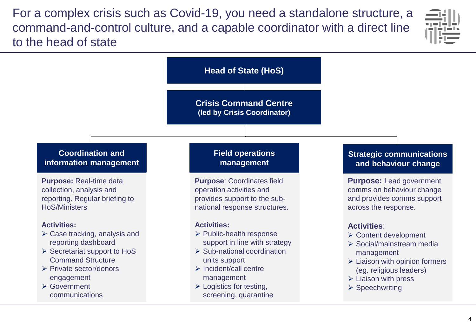For a complex crisis such as Covid-19, you need a standalone structure, a command-and-control culture, and a capable coordinator with a direct line to the head of state